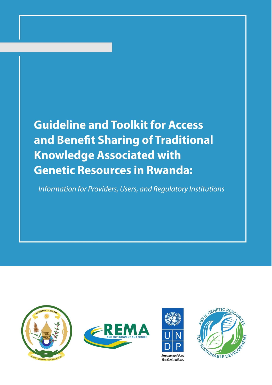# **Guideline and Toolkit for Access** and Benefit Sharing of Traditional **Knowledge Associated with Genetic Resources in Rwanda:**

Information for Providers, Users, and Regulatory Institutions



*Rwanda's ABS Guideline and Toolkit*



**Resilient nations** 

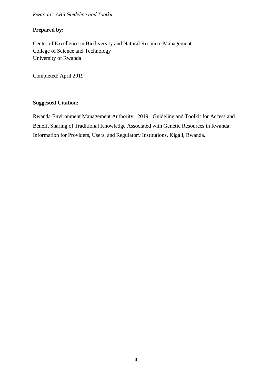#### **Prepared by:**

Center of Excellence in Biodiversity and Natural Resource Management College of Science and Technology University of Rwanda

Completed: April 2019

#### **Suggested Citation:**

Rwanda Environment Management Authority. 2019. Guideline and Toolkit for Access and Benefit Sharing of Traditional Knowledge Associated with Genetic Resources in Rwanda: Information for Providers, Users, and Regulatory Institutions. Kigali, Rwanda.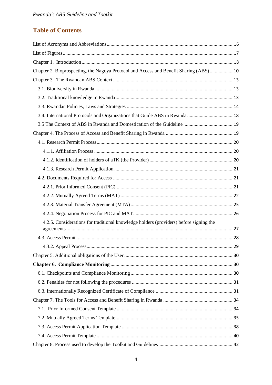## **Table of Contents**

| Chapter 2. Bioprospecting, the Nagoya Protocol and Access and Benefit Sharing (ABS)10  |  |
|----------------------------------------------------------------------------------------|--|
|                                                                                        |  |
|                                                                                        |  |
|                                                                                        |  |
|                                                                                        |  |
|                                                                                        |  |
|                                                                                        |  |
|                                                                                        |  |
|                                                                                        |  |
|                                                                                        |  |
|                                                                                        |  |
|                                                                                        |  |
|                                                                                        |  |
|                                                                                        |  |
|                                                                                        |  |
|                                                                                        |  |
|                                                                                        |  |
| 4.2.5. Considerations for traditional knowledge holders (providers) before signing the |  |
|                                                                                        |  |
|                                                                                        |  |
|                                                                                        |  |
|                                                                                        |  |
|                                                                                        |  |
|                                                                                        |  |
|                                                                                        |  |
|                                                                                        |  |
|                                                                                        |  |
|                                                                                        |  |
|                                                                                        |  |
|                                                                                        |  |
|                                                                                        |  |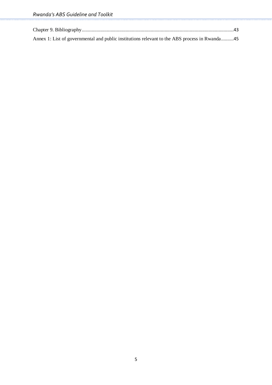| Annex 1: List of governmental and public institutions relevant to the ABS process in Rwanda45 |  |
|-----------------------------------------------------------------------------------------------|--|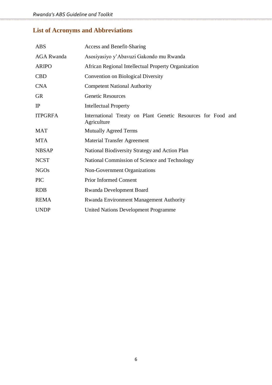# <span id="page-5-0"></span>**List of Acronyms and Abbreviations**

| <b>ABS</b>        | <b>Access and Benefit-Sharing</b>                                           |  |  |  |
|-------------------|-----------------------------------------------------------------------------|--|--|--|
| <b>AGA Rwanda</b> | Asosiyasiyo y'Abavuzi Gakondo mu Rwanda                                     |  |  |  |
| <b>ARIPO</b>      | African Regional Intellectual Property Organization                         |  |  |  |
| <b>CBD</b>        | <b>Convention on Biological Diversity</b>                                   |  |  |  |
| <b>CNA</b>        | <b>Competent National Authority</b>                                         |  |  |  |
| <b>GR</b>         | <b>Genetic Resources</b>                                                    |  |  |  |
| IP                | <b>Intellectual Property</b>                                                |  |  |  |
| <b>ITPGRFA</b>    | International Treaty on Plant Genetic Resources for Food and<br>Agriculture |  |  |  |
| <b>MAT</b>        | <b>Mutually Agreed Terms</b>                                                |  |  |  |
| <b>MTA</b>        | <b>Material Transfer Agreement</b>                                          |  |  |  |
| <b>NBSAP</b>      | National Biodiversity Strategy and Action Plan                              |  |  |  |
| <b>NCST</b>       | National Commission of Science and Technology                               |  |  |  |
| <b>NGOs</b>       | Non-Government Organizations                                                |  |  |  |
| <b>PIC</b>        | <b>Prior Informed Consent</b>                                               |  |  |  |
| <b>RDB</b>        | <b>Rwanda Development Board</b>                                             |  |  |  |
| <b>REMA</b>       | Rwanda Environment Management Authority                                     |  |  |  |
| <b>UNDP</b>       | <b>United Nations Development Programme</b>                                 |  |  |  |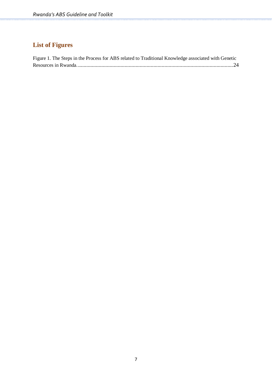# <span id="page-6-0"></span>**List of Figures**

| Figure 1. The Steps in the Process for ABS related to Traditional Knowledge associated with Genetic |  |
|-----------------------------------------------------------------------------------------------------|--|
|                                                                                                     |  |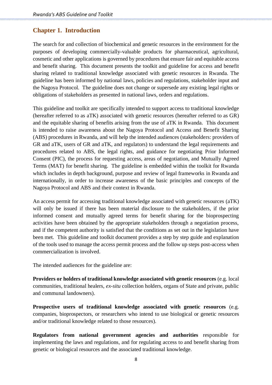#### <span id="page-7-0"></span>**Chapter 1. Introduction**

The search for and collection of biochemical and genetic resources in the environment for the purposes of developing commercially-valuable products for pharmaceutical, agricultural, cosmetic and other applications is governed by procedures that ensure fair and equitable access and benefit sharing. This document presents the toolkit and guideline for access and benefit sharing related to traditional knowledge associated with genetic resources in Rwanda. The guideline has been informed by national laws, policies and regulations, stakeholder input and the Nagoya Protocol. The guideline does not change or supersede any existing legal rights or obligations of stakeholders as presented in national laws, orders and regulations.

This guideline and toolkit are specifically intended to support access to traditional knowledge (hereafter referred to as aTK) associated with genetic resources (hereafter referred to as GR) and the equitable sharing of benefits arising from the use of aTK in Rwanda. This document is intended to raise awareness about the Nagoya Protocol and Access and Benefit Sharing (ABS) procedures in Rwanda, and will help the intended audiences (stakeholders: providers of GR and aTK, users of GR and aTK, and regulators) to understand the legal requirements and procedures related to ABS, the legal rights, and guidance for negotiating Prior Informed Consent (PIC), the process for requesting access, areas of negotiation, and Mutually Agreed Terms (MAT) for benefit sharing. The guideline is embedded within the toolkit for Rwanda which includes in depth background, purpose and review of legal frameworks in Rwanda and internationally, in order to increase awareness of the basic principles and concepts of the Nagoya Protocol and ABS and their context in Rwanda.

An access permit for accessing traditional knowledge associated with genetic resources (aTK) will only be issued if there has been material disclosure to the stakeholders, if the prior informed consent and mutually agreed terms for benefit sharing for the bioprospecting activities have been obtained by the appropriate stakeholders through a negotiation process, and if the competent authority is satisfied that the conditions as set out in the legislation have been met. This guideline and toolkit document provides a step by step guide and explanation of the tools used to manage the access permit process and the follow up steps post-access when commercialization is involved.

The intended audiences for the guideline are:

**Providers or holders of traditional knowledge associated with genetic resources** (e.g. local communities, traditional healers, *ex-situ* collection holders, organs of State and private, public and communal landowners).

**Prospective users of traditional knowledge associated with genetic resources** (e.g. companies, bioprospectors, or researchers who intend to use biological or genetic resources and/or traditional knowledge related to those resources).

**Regulators from national government agencies and authorities** responsible for implementing the laws and regulations, and for regulating access to and benefit sharing from genetic or biological resources and the associated traditional knowledge.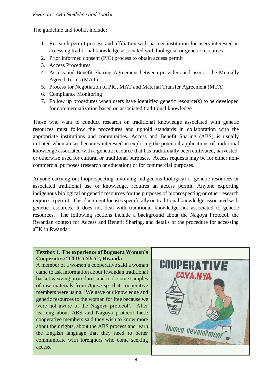The guideline and toolkit include:

- 1. Research permit process and affiliation with partner institution for users interested in accessing traditional knowledge associated with biological or genetic resources
- 2. Prior informed consent (PIC) process to obtain access permit
- 3. Access Procedures
- 4. Access and Benefit Sharing Agreement between providers and users the Mutually Agreed Terms (MAT)
- 5. Process for Negotiation of PIC, MAT and Material Transfer Agreement (MTA)
- 6. Compliance Monitoring
- 7. Follow up procedures when users have identified genetic resource(s) to be developed for commercialization based on associated traditional knowledge

Those who want to conduct research on traditional knowledge associated with genetic resources must follow the procedures and uphold standards in collaboration with the appropriate institutions and communities. Access and Benefit Sharing (ABS) is usually initiated when a user becomes interested in exploring the potential applications of traditional knowledge associated with a genetic resource that has traditionally been cultivated, harvested, or otherwise used for cultural or traditional purposes. Access requests may be for either noncommercial purposes (research or education) or for commercial purposes.

Anyone carrying out bioprospecting involving indigenous biological or genetic resources or associated traditional use or knowledge, requires an access permit. Anyone exporting indigenous biological or genetic resources for the purposes of bioprospecting or other research requires a permit. This document focuses specifically on traditional knowledge associated with genetic resources. It does not deal with traditional knowledge not associated to genetic resources. The following sections include a background about the Nagoya Protocol, the Rwandan context for Access and Benefit Sharing, and details of the procedure for accessing aTK in Rwanda.

#### **Textbox 1. The experience of Bugesera Women's Cooperative "COVANYA", Rwanda**

A member of a women's cooperative said a woman came to ask information about Rwandan traditional basket weaving procedures and took some samples of raw materials from *Agave sp.* that cooperative members were using. 'We gave our knowledge and genetic resources to the woman for free because we were not aware of the Nagoya protocol'. After learning about ABS and Nagoya protocol these cooperative members said they wish to know more about their rights, about the ABS process and learn the English language that they need to better communicate with foreigners who come seeking access.

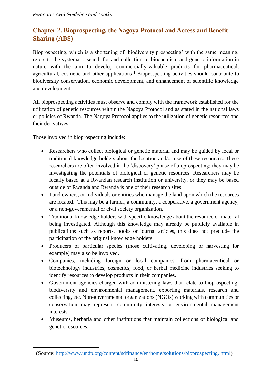## <span id="page-9-0"></span>**Chapter 2. Bioprospecting, the Nagoya Protocol and Access and Benefit Sharing (ABS)**

Bioprospecting, which is a shortening of 'biodiversity prospecting' with the same meaning, refers to the systematic search for and collection of biochemical and genetic information in nature with the aim to develop commercially-valuable products for pharmaceutical, agricultural, cosmetic and other applications. <sup>1</sup> Bioprospecting activities should contribute to biodiversity conservation, economic development, and enhancement of scientific knowledge and development.

All bioprospecting activities must observe and comply with the framework established for the utilization of genetic resources within the Nagoya Protocol and as stated in the national laws or policies of Rwanda. The Nagoya Protocol applies to the utilization of genetic resources and their derivatives.

Those involved in bioprospecting include:

.

- Researchers who collect biological or genetic material and may be guided by local or traditional knowledge holders about the location and/or use of these resources. These researchers are often involved in the 'discovery' phase of bioprospecting; they may be investigating the potentials of biological or genetic resources. Researchers may be locally based at a Rwandan research institution or university, or they may be based outside of Rwanda and Rwanda is one of their research sites.
- Land owners, or individuals or entities who manage the land upon which the resources are located. This may be a farmer, a community, a cooperative, a government agency, or a non-governmental or civil society organization.
- Traditional knowledge holders with specific knowledge about the resource or material being investigated. Although this knowledge may already be publicly available in publications such as reports, books or journal articles, this does not preclude the participation of the original knowledge holders.
- Producers of particular species (those cultivating, developing or harvesting for example) may also be involved.
- Companies, including foreign or local companies, from pharmaceutical or biotechnology industries, cosmetics, food, or herbal medicine industries seeking to identify resources to develop products in their companies.
- Government agencies charged with administering laws that relate to bioprospecting, biodiversity and environmental management, exporting materials, research and collecting, etc. Non-governmental organizations (NGOs) working with communities or conservation may represent community interests or environmental management interests.
- Museums, herbaria and other institutions that maintain collections of biological and genetic resources.

<sup>&</sup>lt;sup>1</sup> (Source: [http://www.undp.org/content/sdfinance/en/home/solutions/bioprospecting. html\)](http://www.undp.org/content/sdfinance/en/home/solutions/bioprospecting.%20html)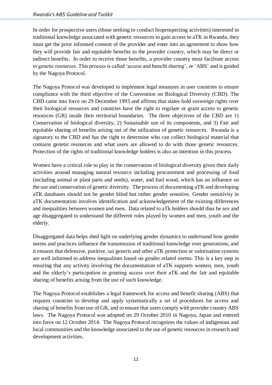In order for prospective users (those seeking to conduct bioprospecting activities) interested in traditional knowledge associated with genetic resources to gain access to aTK in Rwanda, they must get the prior informed consent of the provider and enter into an agreement to show how they will provide fair and equitable benefits to the provider country, which may be direct or indirect benefits. In order to receive those benefits, a provider country must facilitate access to genetic resources. This process is called 'access and benefit sharing', or 'ABS' and is guided by the Nagoya Protocol.

The Nagoya Protocol was developed to implement legal measures in user countries to ensure compliance with the third objective of the Convention on Biological Diversity (CBD). The CBD came into force on 29 December 1993 and affirms that states hold sovereign rights over their biological resources and countries have the right to regulate or grant access to genetic resources (GR) inside their territorial boundaries. The three objectives of the CBD are 1) Conservation of biological diversity, 2) Sustainable use of its components, and 3) Fair and equitable sharing of benefits arising out of the utilization of genetic resources. Rwanda is a signatory to the CBD and has the right to determine who can collect biological material that contains genetic resources and what users are allowed to do with those genetic resources. Protection of the rights of traditional knowledge holders is also an intention in this process.

Women have a critical role to play in the conservation of biological diversity given their daily activities around managing natural resource including procurement and processing of food (including animal or plant parts and seeds), water, and fuel wood, which has an influence on the use and conservation of genetic diversity. The process of documenting aTK and developing aTK databases should not be gender blind but rather gender sensitive. Gender sensitivity in aTK documentation involves identification and acknowledgement of the existing differences and inequalities between women and men. Data related to aTk holders should thus be sex and age disaggregated to understand the different roles played by women and men, youth and the elderly.

Disaggregated data helps shed light on underlying gender dynamics to understand how gender norms and practices influence the transmission of traditional knowledge over generations, and it ensures that defensive, positive, sui generis and other aTK protection or valorisation systems are well informed to address inequalities based on gender related norms. This is a key step in ensuring that any activity involving the documentation of aTK supports women, men, youth and the elderly's participation in granting access over their aTK and the fair and equitable sharing of benefits arising from the use of such knowledge.

The Nagoya Protocol establishes a legal framework for access and benefit sharing (ABS) that requires countries to develop and apply systematically a set of procedures for access and sharing of benefits from use of GR, and to ensure that users comply with provider country ABS laws. The Nagoya Protocol was adopted on 29 October 2010 in Nagoya, Japan and entered into force on 12 October 2014. The Nagoya Protocol recognizes the values of indigenous and local communities and the knowledge associated to the use of genetic resources in research and development activities.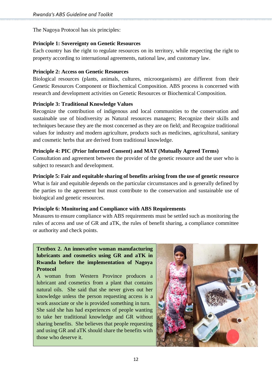The Nagoya Protocol has six principles:

#### **Principle 1: Sovereignty on Genetic Resources**

Each country has the right to regulate resources on its territory, while respecting the right to property according to international agreements, national law, and customary law.

#### **Principle 2: Access on Genetic Resources**

Biological resources (plants, animals, cultures, microorganisms) are different from their Genetic Resources Component or Biochemical Composition. ABS process is concerned with research and development activities on Genetic Resources or Biochemical Composition.

#### **Principle 3: Traditional Knowledge Values**

Recognize the contribution of indigenous and local communities to the conservation and sustainable use of biodiversity as Natural resources managers; Recognize their skills and techniques because they are the most concerned as they are on field; and Recognize traditional values for industry and modern agriculture, products such as medicines, agricultural, sanitary and cosmetic herbs that are derived from traditional knowledge.

#### **Principle 4: PIC (Prior Informed Consent) and MAT (Mutually Agreed Terms)**

Consultation and agreement between the provider of the genetic resource and the user who is subject to research and development.

#### **Principle 5: Fair and equitable sharing of benefits arising from the use of genetic resource**

What is fair and equitable depends on the particular circumstances and is generally defined by the parties to the agreement but must contribute to the conservation and sustainable use of biological and genetic resources.

#### **Principle 6: Monitoring and Compliance with ABS Requirements**

Measures to ensure compliance with ABS requirements must be settled such as monitoring the rules of access and use of GR and aTK, the rules of benefit sharing, a compliance committee or authority and check points.

#### **Textbox 2. An innovative woman manufacturing lubricants and cosmetics using GR and aTK in Rwanda before the implementation of Nagoya Protocol**

A woman from Western Province produces a lubricant and cosmetics from a plant that contains natural oils. She said that she never gives out her knowledge unless the person requesting access is a work associate or she is provided something in turn. She said she has had experiences of people wanting to take her traditional knowledge and GR without sharing benefits. She believes that people requesting and using GR and aTK should share the benefits with those who deserve it.

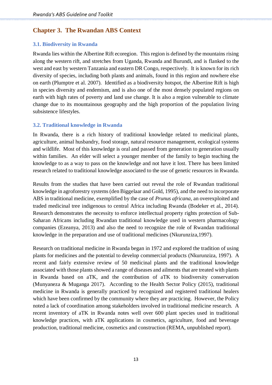#### <span id="page-12-0"></span>**Chapter 3. The Rwandan ABS Context**

#### <span id="page-12-1"></span>**3.1. Biodiversity in Rwanda**

Rwanda lies within the Albertine Rift ecoregion. This region is defined by the mountains rising along the western rift, and stretches from Uganda, Rwanda and Burundi, and is flanked to the west and east by western Tanzania and eastern DR Congo, respectively. It is known for its rich diversity of species, including both plants and animals, found in this region and nowhere else on earth (Plumptre et al. 2007). Identified as a biodiversity hotspot, the Albertine Rift is high in species diversity and endemism, and is also one of the most densely populated regions on earth with high rates of poverty and land use change. It is also a region vulnerable to climate change due to its mountainous geography and the high proportion of the population living subsistence lifestyles.

#### <span id="page-12-2"></span>**3.2. Traditional knowledge in Rwanda**

In Rwanda, there is a rich history of traditional knowledge related to medicinal plants, agriculture, animal husbandry, food storage, natural resource management, ecological systems and wildlife. Most of this knowledge is oral and passed from generation to generation usually within families. An elder will select a younger member of the family to begin teaching the knowledge to as a way to pass on the knowledge and not have it lost. There has been limited research related to traditional knowledge associated to the use of genetic resources in Rwanda.

Results from the studies that have been carried out reveal the role of Rwandan traditional knowledge in agroforestry systems (den Biggelaar and Gold, 1995), and the need to incorporate ABS in traditional medicine, exemplified by the case of *Prunus africana*, an overexploited and traded medicinal tree indigenous to central Africa including Rwanda (Bodeker et al., 2014). Research demonstrates the necessity to enforce intellectual property rights protection of Sub-Saharan Africans including Rwandan traditional knowledge used in western pharmacology companies (Ezeanya, 2013) and also the need to recognize the role of Rwandan traditional knowledge in the preparation and use of traditional medicines (Nkurunziza,1997).

Research on traditional medicine in Rwanda began in 1972 and explored the tradition of using plants for medicines and the potential to develop commercial products (Nkurunziza, 1997). A recent and fairly extensive review of 50 medicinal plants and the traditional knowledge associated with those plants showed a range of diseases and ailments that are treated with plants in Rwanda based on aTK, and the contribution of aTK to biodiversity conservation (Munyaneza & Muganga 2017). According to the Health Sector Policy (2015), traditional medicine in Rwanda is generally practiced by recognized and registered traditional healers which have been confirmed by the community where they are practicing. However, the Policy noted a lack of coordination among stakeholders involved in traditional medicine research. A recent inventory of aTK in Rwanda notes well over 600 plant species used in traditional knowledge practices, with aTK applications in cosmetics, agriculture, food and beverage production, traditional medicine, cosmetics and construction (REMA, unpublished report).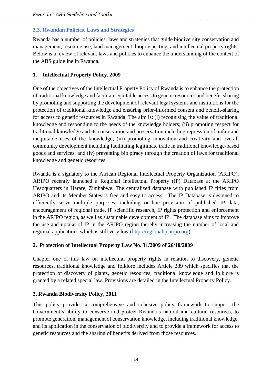#### <span id="page-13-0"></span>**3.3. Rwandan Policies, Laws and Strategies**

Rwanda has a number of policies, laws and strategies that guide biodiversity conservation and management, resource use, land management, bioprospecting, and intellectual property rights. Below is a review of relevant laws and policies to enhance the understanding of the context of the ABS guideline in Rwanda.

#### **1. Intellectual Property Policy, 2009**

One of the objectives of the Intellectual Property Policy of Rwanda is to enhance the protection of traditional knowledge and facilitate equitable access to genetic resources and benefit-sharing by promoting and supporting the development of relevant legal systems and institutions for the protection of traditional knowledge and ensuring prior-informed consent and benefit-sharing for access to genetic resources in Rwanda. The aim is: (i) recognising the value of traditional knowledge and responding to the needs of the knowledge holders; (ii) promoting respect for traditional knowledge and its conservation and preservation including repression of unfair and inequitable uses of the knowledge; (iii) promoting innovation and creativity and overall community development including facilitating legitimate trade in traditional knowledge-based goods and services; and (iv) preventing bio piracy through the creation of laws for traditional knowledge and genetic resources.

Rwanda is a signatory to the African Regional Intellectual Property Organization (ARIPO). ARIPO recently launched a Regional Intellectual Property (IP) Database at the ARIPO Headquarters in Harare, Zimbabwe. The centralized database with published IP titles from ARIPO and its Member States is free and easy to access. The IP Database is designed to efficiently serve multiple purposes, including on-line provision of published IP data, encouragement of regional trade, IP scientific research, IP rights protection and enforcement in the ARIPO region, as well as sustainable development of IP. The database aims to improve the use and uptake of IP in the ARIPO region thereby increasing the number of local and regional applications which is still very low [\(http://regionalip.aripo.org\)](http://regionalip.aripo.org/).

#### **2. Protection of Intellectual Property Law No. 31/2009 of 26/10/2009**

Chapter one of this law on intellectual property rights in relation to discovery, genetic resources, traditional knowledge and folklore includes Article 289 which specifies that the protection of discovery of plants, genetic resources, traditional knowledge and folklore is granted by a related special law. Provisions are detailed in the Intellectual Property Policy.

#### **3. Rwanda Biodiversity Policy, 2011**

This policy provides a comprehensive and cohesive policy framework to support the Government's ability to conserve and protect Rwanda's natural and cultural resources, to promote generation, management of conservation knowledge, including traditional knowledge, and its application in the conservation of biodiversity and to provide a framework for access to genetic resources and the sharing of benefits derived from those resources.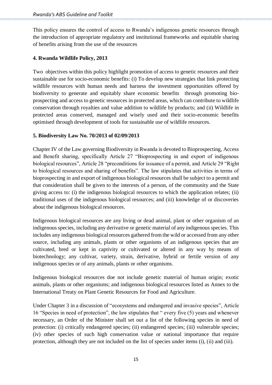This policy ensures the control of access to Rwanda's indigenous genetic resources through the introduction of appropriate regulatory and institutional frameworks and equitable sharing of benefits arising from the use of the resources

#### **4. Rwanda Wildlife Policy, 2013**

Two objectives within this policy highlight promotion of access to genetic resources and their sustainable use for socio-economic benefits: (i) To develop new strategies that link protecting wildlife resources with human needs and harness the investment opportunities offered by biodiversity to generate and equitably share economic benefits through promoting bioprospecting and access to genetic resources in protected areas, which can contribute to wildlife conservation through royalties and value addition to wildlife by products; and (ii) Wildlife in protected areas conserved, managed and wisely used and their socio-economic benefits optimised through development of tools for sustainable use of wildlife resources.

#### **5. Biodiversity Law No. 70/2013 of 02/09/2013**

Chapter IV of the Law governing Biodiversity in Rwanda is devoted to Bioprospecting, Access and Benefit sharing, specifically Article 27 "Bioprospecting in and export of indigenous biological resources", Article 28 "preconditions for issuance of a permit, and Article 29 "Right to biological resources and sharing of benefits". The law stipulates that activities in terms of bioprospecting in and export of indigenous biological resources shall be subject to a permit and that consideration shall be given to the interests of a person, of the community and the State giving access to: (i) the indigenous biological resources to which the application relates; (ii) traditional uses of the indigenous biological resources; and (iii) knowledge of or discoveries about the indigenous biological resources.

Indigenous biological resources are any living or dead animal, plant or other organism of an indigenous species, including any derivative or genetic material of any indigenous species. This includes any indigenous biological resources gathered from the wild or accessed from any other source, including any animals, plants or other organisms of an indigenous species that are cultivated, bred or kept in captivity or cultivated or altered in any way by means of biotechnology; any cultivar, variety, strain, derivative, hybrid or fertile version of any indigenous species or of any animals, plants or other organisms.

Indigenous biological resources doe not include genetic material of human origin; exotic animals, plants or other organisms; and indigenous biological resources listed as Annex to the International Treaty on Plant Genetic Resources for Food and Agriculture.

Under Chapter 3 in a discussion of "ecosystems and endangered and invasive species", Article 16 "Species in need of protection", the law stipulates that " every five (5) years and whenever necessary, an Order of the Minister shall set out a list of the following species in need of protection: (i) critically endangered species; (ii) endangered species; (iii) vulnerable species; (iv) other species of such high conservation value or national importance that require protection, although they are not included on the list of species under items (i), (ii) and (iii).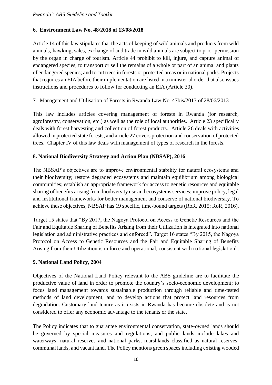#### **6. Environment Law No. 48/2018 of 13/08/2018**

Article 14 of this law stipulates that the acts of keeping of wild animals and products from wild animals, hawking, sales, exchange of and trade in wild animals are subject to prior permission by the organ in charge of tourism. Article 44 prohibit to kill, injure, and capture animal of endangered species, to transport or sell the remains of a whole or part of an animal and plants of endangered species; and to cut trees in forests or protected areas or in national parks. Projects that requires an EIA before their implementation are listed in a ministerial order that also issues instructions and procedures to follow for conducting an EIA (Article 30).

#### 7. Management and Utilisation of Forests in Rwanda Law No. 47bis/2013 of 28/06/2013

This law includes articles covering management of forests in Rwanda (for research, agroforestry, conservation, etc.) as well as the role of local authorities. Article 23 specifically deals with forest harvesting and collection of forest products. Article 26 deals with activities allowed in protected state forests, and article 27 covers protection and conservation of protected trees. Chapter IV of this law deals with management of types of research in the forests.

#### **8. National Biodiversity Strategy and Action Plan (NBSAP), 2016**

The NBSAP's objectives are to improve environmental stability for natural ecosystems and their biodiversity; restore degraded ecosystems and maintain equilibrium among biological communities; establish an appropriate framework for access to genetic resources and equitable sharing of benefits arising from biodiversity use and ecosystems services; improve policy, legal and institutional frameworks for better management and conserve of national biodiversity. To achieve these objectives, NBSAP has 19 specific, time-bound targets (RoR, 2015; RoR, 2016).

Target 15 states that "By 2017, the Nagoya Protocol on Access to Genetic Resources and the Fair and Equitable Sharing of Benefits Arising from their Utilization is integrated into national legislation and administrative practices and enforced". Target 16 states "By 2015, the Nagoya Protocol on Access to Genetic Resources and the Fair and Equitable Sharing of Benefits Arising from their Utilization is in force and operational, consistent with national legislation".

#### **9. National Land Policy, 2004**

Objectives of the National Land Policy relevant to the ABS guideline are to facilitate the productive value of land in order to promote the country's socio-economic development; to focus land management towards sustainable production through reliable and time-tested methods of land development; and to develop actions that protect land resources from degradation. Customary land tenure as it exists in Rwanda has become obsolete and is not considered to offer any economic advantage to the tenants or the state.

The Policy indicates that to guarantee environmental conservation, state-owned lands should be governed by special measures and regulations, and public lands include lakes and waterways, natural reserves and national parks, marshlands classified as natural reserves, communal lands, and vacant land. The Policy mentions green spaces including existing wooded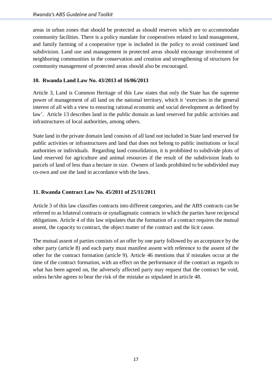areas in urban zones that should be protected as should reserves which are to accommodate community facilities. There is a policy mandate for cooperatives related to land management, and family farming of a cooperative type is included in the policy to avoid continued land subdivision. Land use and management in protected areas should encourage involvement of neighboring communities in the conservation and creation and strengthening of structures for community management of protected areas should also be encouraged.

#### **10. Rwanda Land Law No. 43/2013 of 16/06/2013**

Article 3, Land is Common Heritage of this Law states that only the State has the supreme power of management of all land on the national territory, which it 'exercises in the general interest of all with a view to ensuring rational economic and social development as defined by law'. Article 13 describes land in the public domain as land reserved for public activities and infrastructures of local authorities, among others.

State land in the private domain land consists of all land not included in State land reserved for public activities or infrastructures and land that does not belong to public institutions or local authorities or individuals. Regarding land consolidation, it is prohibited to subdivide plots of land reserved for agriculture and animal resources if the result of the subdivision leads to parcels of land of less than a hectare in size. Owners of lands prohibited to be subdivided may co-own and use the land in accordance with the laws.

#### **11. Rwanda Contract Law No. 45/2011 of 25/11/2011**

Article 3 of this law classifies contracts into different categories, and the ABS contracts can be referred to as bilateral contracts or synallagmatic contracts in which the parties have reciprocal obligations. Article 4 of this law stipulates that the formation of a contract requires the mutual assent, the capacity to contract, the object matter of the contract and the licit cause.

The mutual assent of parties consists of an offer by one party followed by an acceptance by the other party (article 8) and each party must manifest assent with reference to the assent of the other for the contract formation (article 9). Article 46 mentions that if mistakes occur at the time of the contract formation, with an effect on the performance of the contract as regards to what has been agreed on, the adversely affected party may request that the contract be void, unless he/she agrees to bear the risk of the mistake as stipulated in article 48.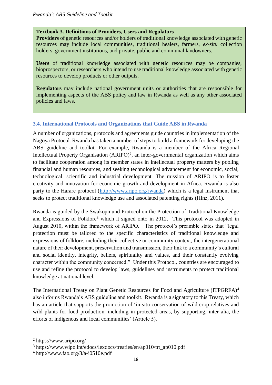#### **Textbook 3. Definitions of Providers, Users and Regulators**

**Providers** of genetic resources and/or holders of traditional knowledge associated with genetic resources may include local communities, traditional healers, farmers, *ex-situ* collection holders, government institutions, and private, public and communal landowners.

**Users** of traditional knowledge associated with genetic resources may be companies, bioprospectors, or researchers who intend to use traditional knowledge associated with genetic resources to develop products or other outputs.

**Regulators** may include national government units or authorities that are responsible for implementing aspects of the ABS policy and law in Rwanda as well as any other associated policies and laws.

## <span id="page-17-0"></span>3.4. International Protocols and Organizations that Guide ABS in Rwanda

A number of organizations, protocols and agreements guide countries in implementation of the Nagoya Protocol. Rwanda has taken a number of steps to build a framework for developing the ABS guideline and toolkit. For example, Rwanda is a member of the Africa Regional Intellectual Property Organisation (ARIPO)<sup>2</sup>, an inter-governmental organization which aims memberation interperty organisation (TRTL o), an inter-governmental eigenments minen amission with the mass financial and human resources, and seeking technological advancement for economic, social, technological, scientific and industrial development. The mission of ARIPO is to foster creativity and innovation for economic growth and development in Africa. Rwanda is also party to the Harare protocol [\(http://www.aripo.org/rwanda\)](http://www.aripo.org/rwanda) which is a legal instrument that seeks to protect traditional knowledge use and associated patenting rights (Hinz, 2011). biochrane cooperation among its memocristates in intended as property matters by poomig

Rwanda is guided by the Swakopmund Protocol on the Protection of Traditional Knowledge and Expressions of Folklore<sup>3</sup> which it signed onto in 2012. This protocol was adopted in August 2010, within the framework of ARIPO. The protocol's preamble states that "legal protection must be tailored to the specific characteristics of traditional knowledge and expressions of folklore, including their collective or community context, the intergenerational nature of their development, preservation and transmission, their link to a community's cultural and social identity, integrity, beliefs, spirituality and values, and their constantly evolving character within the community concerned." Under this Protocol, countries are encouraged to enaracter which the community concerned. Chocrains I rotocol, countries are encouraged to use and refine the protocol to develop laws, guidelines and instruments to protect traditional knowledge at national level. se and refine the protocol to develop faws, guidelines and instruments to protect traditional

The International Treaty on Plant Genetic Resources for Food and Agriculture (ITPGRFA)<sup>4</sup> also informs Rwanda's ABS guideline and toolkit. Rwanda is a signatory to this Treaty, which has an article that supports the promotion of 'in situ conservation of wild crop relatives and wild plants for food production, including in protected areas, by supporting, inter alia, the efforts of indigenous and local communities' (Article 5).

.

 $\frac{1}{2}$  https://www.aripo.org/

<sup>&</sup>lt;sup>3</sup> https://www.wipo.int/edocs/lexdocs/treaties/en/ap010/trt\_ap010.pdf<br><sup>4</sup> http://www.foo.org/3/0.j05100.pdf

 $4 \text{ http://www.fao.org/3/a-i0510e.pdf}$ biographical to the use traditional knowledge associated with general knowledge associated with genetic with genetic with genetic with genetic with genetic with genetic with genetic with genetic with genetic with genetic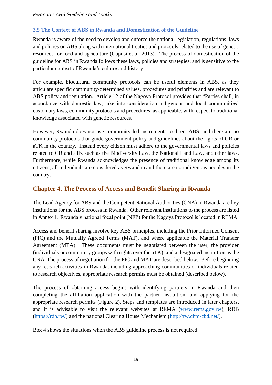#### <span id="page-18-0"></span>**3.5 The Context of ABS in Rwanda and Domestication of the Guideline**

Rwanda is aware of the need to develop and enforce the national legislation, regulations, laws and policies on ABS along with international treaties and protocols related to the use of genetic resources for food and agriculture (Gapusi et al. 2013). The process of domestication of the guideline for ABS in Rwanda follows these laws, policies and strategies, and is sensitive to the particular context of Rwanda's culture and history.

For example, biocultural community protocols can be useful elements in ABS, as they articulate specific community-determined values, procedures and priorities and are relevant to ABS policy and regulation. Article 12 of the Nagoya Protocol provides that "Parties shall, in accordance with domestic law, take into consideration indigenous and local communities' customary laws, community protocols and procedures, as applicable, with respect to traditional knowledge associated with genetic resources.

However, Rwanda does not use community-led instruments to direct ABS, and there are no community protocols that guide government policy and guidelines about the rights of GR or aTK in the country. Instead every citizen must adhere to the governmental laws and policies related to GR and aTK such as the Biodiversity Law, the National Land Law, and other laws. Furthermore, while Rwanda acknowledges the presence of traditional knowledge among its citizens, all individuals are considered as Rwandan and there are no indigenous peoples in the country.

## <span id="page-18-1"></span>**Chapter 4. The Process of Access and Benefit Sharing in Rwanda**

The Lead Agency for ABS and the Competent National Authorities (CNA) in Rwanda are key institutions for the ABS process in Rwanda. Other relevant institutions to the process are listed in Annex 1. Rwanda's national focal point (NFP) for the Nagoya Protocol is located in REMA.

Access and benefit sharing involve key ABS principles, including the Prior Informed Consent (PIC) and the Mutually Agreed Terms (MAT), and where applicable the Material Transfer Agreement (MTA). These documents must be negotiated between the user, the provider (individuals or community groups with rights over the aTK), and a designated institution as the CNA. The process of negotiation for the PIC and MAT are described below. Before beginning any research activities in Rwanda, including approaching communities or individuals related to research objectives, appropriate research permits must be obtained (described below).

The process of obtaining access begins with identifying partners in Rwanda and then completing the affiliation application with the partner institution, and applying for the appropriate research permits (Figure 2). Steps and templates are introduced in later chapters, and it is advisable to visit the relevant websites at REMA [\(www.rema.gov.rw\)](http://www.rema.gov.rw/), RDB [\(https://rdb.rw/\)](https://rdb.rw/) and the national Clearing House Mechanism [\(http://rw.chm-cbd.net/\)](http://rw.chm-cbd.net/).

Box 4 shows the situations when the ABS guideline process is not required.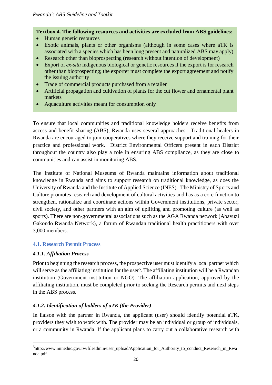#### **Textbox 4. The following resources and activities are excluded from ABS guidelines:**

- Human genetic resources
- Exotic animals, plants or other organisms (although in some cases where aTK is associated with a species which has been long present and naturalized ABS may apply)
- Research other than bioprospecting (research without intention of development)
- Export of *ex-situ* indigenous biological or genetic resources if the export is for research other than bioprospecting; the exporter must complete the export agreement and notify the issuing authority
- Trade of commercial products purchased from a retailer
- Artificial propagation and cultivation of plants for the cut flower and ornamental plant markets
- Aquaculture activities meant for consumption only

To ensure that local communities and traditional knowledge holders receive benefits from access and benefit sharing (ABS), Rwanda uses several approaches. Traditional healers in Rwanda are encouraged to join cooperatives where they receive support and training for their practice and professional work. District Environmental Officers present in each District throughout the country also play a role in ensuring ABS compliance, as they are close to communities and can assist in monitoring ABS.

The Institute of National Museums of Rwanda maintains information about traditional knowledge in Rwanda and aims to support research on traditional knowledge, as does the University of Rwanda and the Institute of Applied Science (INES). The Ministry of Sports and Culture promotes research and development of cultural activities and has as a core function to strengthen, rationalize and coordinate actions within Government institutions, private sector, civil society, and other partners with an aim of uplifting and promoting culture (as well as sports). There are non-governmental associations such as the AGA Rwanda network (Abavuzi Gakondo Rwanda Network), a forum of Rwandan traditional health practitioners with over 3,000 members.

#### <span id="page-19-0"></span>**4.1. Research Permit Process**

#### <span id="page-19-1"></span>*4.1.1. Affiliation Process*

1

Prior to beginning the research process, the prospective user must identify a local partner which will serve as the affiliating institution for the user<sup>5</sup>. The affiliating institution will be a Rwandan institution (Government institution or NGO). The affiliation application, approved by the affiliating institution, must be completed prior to seeking the Research permits and next steps in the ABS process.

#### <span id="page-19-2"></span>*4.1.2. Identification of holders of aTK (the Provider)*

In liaison with the partner in Rwanda, the applicant (user) should identify potential aTK, providers they wish to work with. The provider may be an individual or group of individuals, or a community in Rwanda. If the applicant plans to carry out a collaborative research with

<sup>5</sup> http://www.mineduc.gov.rw/fileadmin/user\_upload/Application\_for\_Authority\_to\_conduct\_Research\_in\_Rwa nda.pdf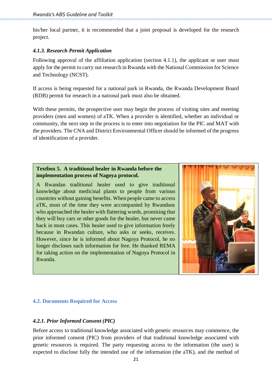his/her local partner, it is recommended that a joint proposal is developed for the research project.

#### <span id="page-20-0"></span>*4.1.3. Research Permit Application*

Following approval of the affiliation application (section 4.1.1), the applicant or user must apply for the permit to carry out research in Rwanda with the National Commission for Science and Technology (NCST).

If access is being requested for a national park in Rwanda, the Rwanda Development Board (RDB) permit for research in a national park must also be obtained.

With these permits, the prospective user may begin the process of visiting sites and meeting providers (men and women) of aTK. When a provider is identified, whether an individual or community, the next step in the process is to enter into negotiation for the PIC and MAT with the providers. The CNA and District Environmental Officer should be informed of the progress of identification of a provider.

#### **Textbox 5. A traditional healer in Rwanda before the implementation process of Nagoya protocol.**

A Rwandan traditional healer used to give traditional knowledge about medicinal plants to people from various countries without gaining benefits. When people came to access aTK, most of the time they were accompanied by Rwandans who approached the healer with flattering words, promising that they will buy cars or other goods for the healer, but never came back in most cases. This healer used to give information freely because in Rwandan culture, who asks or seeks, receives. However, since he is informed about Nagoya Protocol, he no longer discloses such information for free. He thanked REMA for taking action on the implementation of Nagoya Protocol in Rwanda.



#### <span id="page-20-1"></span>**4.2. Documents Required for Access**

#### <span id="page-20-2"></span>*4.2.1. Prior Informed Consent (PIC)*

Before access to traditional knowledge associated with genetic resources may commence, the prior informed consent (PIC) from providers of that traditional knowledge associated with genetic resources is required. The party requesting access to the information (the user) is expected to disclose fully the intended use of the information (the aTK), and the method of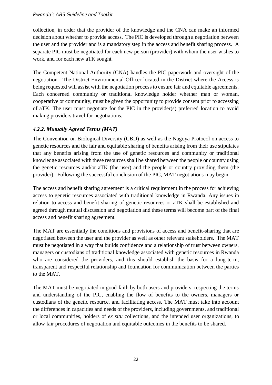collection, in order that the provider of the knowledge and the CNA can make an informed decision about whether to provide access. The PIC is developed through a negotiation between the user and the provider and is a mandatory step in the access and benefit sharing process. A separate PIC must be negotiated for each new person (provider) with whom the user wishes to work, and for each new aTK sought.

The Competent National Authority (CNA) handles the PIC paperwork and oversight of the negotiation. The District Environmental Officer located in the District where the Access is being requested will assist with the negotiation process to ensure fair and equitable agreements. Each concerned community or traditional knowledge holder whether man or woman, cooperative or community, must be given the opportunity to provide consent prior to accessing of aTK. The user must negotiate for the PIC in the provider(s) preferred location to avoid making providers travel for negotiations.

#### <span id="page-21-0"></span>*4.2.2. Mutually Agreed Terms (MAT)*

The Convention on Biological Diversity (CBD) as well as the Nagoya Protocol on access to genetic resources and the fair and equitable sharing of benefits arising from their use stipulates that any benefits arising from the use of genetic resources and community or traditional knowledge associated with these resources shall be shared between the people or country using the genetic resources and/or aTK (the user) and the people or country providing them (the provider). Following the successful conclusion of the PIC, MAT negotiations may begin.

The access and benefit sharing agreement is a critical requirement in the process for achieving access to genetic resources associated with traditional knowledge in Rwanda. Any issues in relation to access and benefit sharing of genetic resources or aTK shall be established and agreed through mutual discussion and negotiation and these terms will become part of the final access and benefit sharing agreement.

The MAT are essentially the conditions and provisions of access and benefit-sharing that are negotiated between the user and the provider as well as other relevant stakeholders. The MAT must be negotiated in a way that builds confidence and a relationship of trust between owners, managers or custodians of traditional knowledge associated with genetic resources in Rwanda who are considered the providers, and this should establish the basis for a long-term, transparent and respectful relationship and foundation for communication between the parties to the MAT.

The MAT must be negotiated in good faith by both users and providers, respecting the terms and understanding of the PIC, enabling the flow of benefits to the owners, managers or custodians of the genetic resource, and facilitating access. The MAT must take into account the differences in capacities and needs of the providers, including governments, and traditional or local communities, holders of *ex situ* collections, and the intended user organizations, to allow fair procedures of negotiation and equitable outcomes in the benefits to be shared.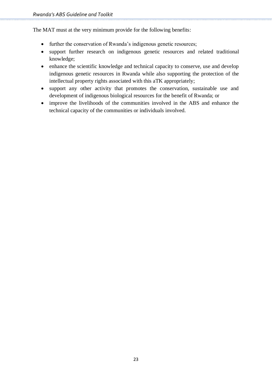The MAT must at the very minimum provide for the following benefits:

- further the conservation of Rwanda's indigenous genetic resources;
- support further research on indigenous genetic resources and related traditional knowledge;
- enhance the scientific knowledge and technical capacity to conserve, use and develop indigenous genetic resources in Rwanda while also supporting the protection of the intellectual property rights associated with this aTK appropriately;
- support any other activity that promotes the conservation, sustainable use and development of indigenous biological resources for the benefit of Rwanda; or
- improve the livelihoods of the communities involved in the ABS and enhance the technical capacity of the communities or individuals involved.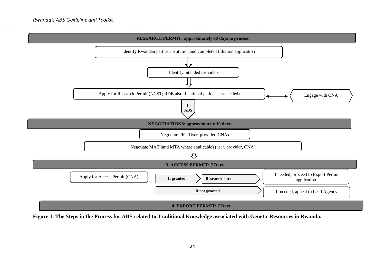

<span id="page-23-0"></span>**Figure 1. The Steps in the Process for ABS related to Traditional Knowledge associated with Genetic Resources in Rwanda. d** to Traditional Knowledge associat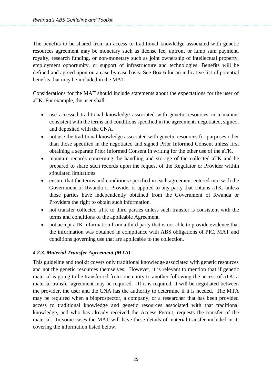The benefits to be shared from an access to traditional knowledge associated with genetic resources agreement may be monetary such as license fee, upfront or lump sum payment, royalty, research funding, or non-monetary such as joint ownership of intellectual property, employment opportunity, or support of infrastructure and technologies. Benefits will be defined and agreed upon on a case by case basis. See Box 6 for an indicative list of potential benefits that may be included in the MAT.

Considerations for the MAT should include statements about the expectations for the user of aTK. For example, the user shall:

- use accessed traditional knowledge associated with genetic resources in a manner consistent with the terms and conditions specified in the agreements negotiated, signed, and deposited with the CNA.
- not use the traditional knowledge associated with genetic resources for purposes other than those specified in the negotiated and signed Prior Informed Consent unless first obtaining a separate Prior Informed Consent in writing for the other use of the aTK.
- maintain records concerning the handling and storage of the collected aTK and be prepared to share such records upon the request of the Regulator or Provider within stipulated limitations.
- ensure that the terms and conditions specified in each agreement entered into with the Government of Rwanda or Provider is applied to any party that obtains aTK, unless those parties have independently obtained from the Government of Rwanda or Providers the right to obtain such information.
- not transfer collected aTK to third parties unless such transfer is consistent with the terms and conditions of the applicable Agreement.
- not accept aTK information from a third party that is not able to provide evidence that the information was obtained in compliance with ABS obligations of PIC, MAT and conditions governing use that are applicable to the collection.

#### <span id="page-24-0"></span>*4.2.3. Material Transfer Agreement (MTA)*

This guideline and toolkit covers only traditional knowledge associated with genetic resources and not the genetic resources themselves. However, it is relevant to mention that if genetic material is going to be transferred from one entity to another following the access of aTK, a material transfer agreement may be required. ,If it is required, it will be negotiated between the provider, the user and the CNA has the authority to determine if it is needed. The MTA may be required when a bioprospector, a company, or a researcher that has been provided access to traditional knowledge and genetic resources associated with that traditional knowledge, and who has already received the Access Permit, requests the transfer of the material. In some cases the MAT will have these details of material transfer included in it, covering the information listed below.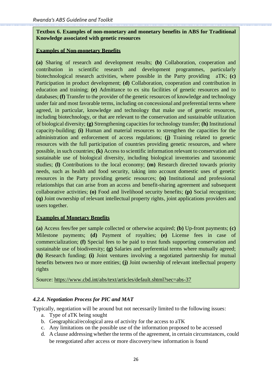#### **Textbox 6. Examples of non-monetary and monetary benefits in ABS for Traditional Knowledge associated with genetic resources**

#### **Examples of Non-monetary Benefits**

**(a)** Sharing of research and development results; **(b)** Collaboration, cooperation and contribution in scientific research and development programmes, particularly biotechnological research activities, where possible in the Party providing aTK; **(c)**  Participation in product development; **(d)** Collaboration, cooperation and contribution in education and training; **(e)** Admittance to ex situ facilities of genetic resources and to databases; **(f)** Transfer to the provider of the genetic resources of knowledge and technology under fair and most favorable terms, including on concessional and preferential terms where agreed, in particular, knowledge and technology that make use of genetic resources, including biotechnology, or that are relevant to the conservation and sustainable utilization of biological diversity; **(g)** Strengthening capacities for technology transfer; **(h)** Institutional capacity-building; **(i)** Human and material resources to strengthen the capacities for the administration and enforcement of access regulations; **(j)** Training related to genetic resources with the full participation of countries providing genetic resources, and where possible, in such countries; **(k)** Access to scientific information relevant to conservation and sustainable use of biological diversity, including biological inventories and taxonomic studies; **(l)** Contributions to the local economy; **(m)** Research directed towards priority needs, such as health and food security, taking into account domestic uses of genetic resources in the Party providing genetic resources; **(n)** Institutional and professional relationships that can arise from an access and benefit-sharing agreement and subsequent collaborative activities; **(o)** Food and livelihood security benefits; **(p)** Social recognition; **(q)** Joint ownership of relevant intellectual property rights, joint applications providers and users together.

#### **Examples of Monetary Benefits**

**(a)** Access fees/fee per sample collected or otherwise acquired; **(b)** Up-front payments; **(c)** Milestone payments; **(d)** Payment of royalties; **(e)** License fees in case of commercialization; **(f)** Special fees to be paid to trust funds supporting conservation and sustainable use of biodiversity; **(g)** Salaries and preferential terms where mutually agreed; **(h)** Research funding; **(i)** Joint ventures involving a negotiated partnership for mutual benefits between two or more entities; **(j)** Joint ownership of relevant intellectual property rights

Source: https://www.cbd.int/abs/text/articles/default.shtml?sec=abs-37

#### <span id="page-25-0"></span>*4.2.4. Negotiation Process for PIC and MAT*

Typically, negotiation will be around but not necessarily limited to the following issues:

- a. Type of aTK being sought
- b. Geographical/ecological area of activity for the access to aTK
- c. Any limitations on the possible use of the information proposed to be accessed
- d. A clause addressing whether the terms of the agreement, in certain circumstances, could be renegotiated after access or more discovery/new information is found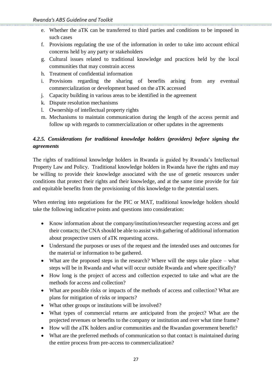- e. Whether the aTK can be transferred to third parties and conditions to be imposed in such cases
- f. Provisions regulating the use of the information in order to take into account ethical concerns held by any party or stakeholders
- g. Cultural issues related to traditional knowledge and practices held by the local communities that may constrain access
- h. Treatment of confidential information
- i. Provisions regarding the sharing of benefits arising from any eventual commercialization or development based on the aTK accessed
- j. Capacity building in various areas to be identified in the agreement
- k. Dispute resolution mechanisms
- l. Ownership of intellectual property rights
- m. Mechanisms to maintain communication during the length of the access permit and follow up with regards to commercialization or other updates in the agreements

## <span id="page-26-0"></span>*4.2.5. Considerations for traditional knowledge holders (providers) before signing the agreements*

The rights of traditional knowledge holders in Rwanda is guided by Rwanda's Intellectual Property Law and Policy. Traditional knowledge holders in Rwanda have the rights and may be willing to provide their knowledge associated with the use of genetic resources under conditions that protect their rights and their knowledge, and at the same time provide for fair and equitable benefits from the provisioning of this knowledge to the potential users.

When entering into negotiations for the PIC or MAT, traditional knowledge holders should take the following indicative points and questions into consideration:

- Know information about the company/institution/researcher requesting access and get their contacts; the CNA should be able to assist with gathering of additional information about prospective users of aTK requesting access.
- Understand the purposes or uses of the request and the intended uses and outcomes for the material or information to be gathered.
- What are the proposed steps in the research? Where will the steps take place what steps will be in Rwanda and what will occur outside Rwanda and where specifically?
- How long is the project of access and collection expected to take and what are the methods for access and collection?
- What are possible risks or impacts of the methods of access and collection? What are plans for mitigation of risks or impacts?
- What other groups or institutions will be involved?
- What types of commercial returns are anticipated from the project? What are the projected revenues or benefits to the company or institution and over what time frame?
- How will the aTK holders and/or communities and the Rwandan government benefit?
- What are the preferred methods of communication so that contact is maintained during the entire process from pre-access to commercialization?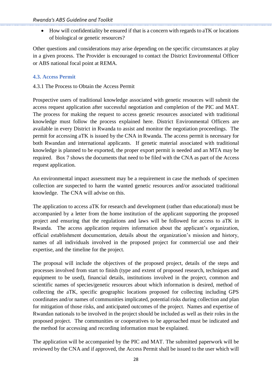• How will confidentiality be ensured if that is a concern with regards to aTK or locations of biological or genetic resources?

Other questions and considerations may arise depending on the specific circumstances at play in a given process. The Provider is encouraged to contact the District Environmental Officer or ABS national focal point at REMA.

#### <span id="page-27-0"></span>**4.3. Access Permit**

#### 4.3.1 The Process to Obtain the Access Permit

Prospective users of traditional knowledge associated with genetic resources will submit the access request application after successful negotiation and completion of the PIC and MAT. The process for making the request to access genetic resources associated with traditional knowledge must follow the process explained here. District Environmental Officers are available in every District in Rwanda to assist and monitor the negotiation proceedings. The permit for accessing aTK is issued by the CNA in Rwanda. The access permit is necessary for both Rwandan and international applicants. If genetic material associated with traditional knowledge is planned to be exported, the proper export permit is needed and an MTA may be required. Box 7 shows the documents that need to be filed with the CNA as part of the Access request application.

An environmental impact assessment may be a requirement in case the methods of specimen collection are suspected to harm the wanted genetic resources and/or associated traditional knowledge. The CNA will advise on this.

The application to access aTK for research and development (rather than educational) must be accompanied by a letter from the home institution of the applicant supporting the proposed project and ensuring that the regulations and laws will be followed for access to aTK in Rwanda. The access application requires information about the applicant's organization, official establishment documentation, details about the organization's mission and history, names of all individuals involved in the proposed project for commercial use and their expertise, and the timeline for the project.

The proposal will include the objectives of the proposed project, details of the steps and processes involved from start to finish (type and extent of proposed research, techniques and equipment to be used), financial details, institutions involved in the project, common and scientific names of species/genetic resources about which information is desired, method of collecting the aTK, specific geographic locations proposed for collecting including GPS coordinates and/or names of communities implicated, potential risks during collection and plan for mitigation of those risks, and anticipated outcomes of the project. Names and expertise of Rwandan nationals to be involved in the project should be included as well as their roles in the proposed project. The communities or cooperatives to be approached must be indicated and the method for accessing and recording information must be explained.

The application will be accompanied by the PIC and MAT. The submitted paperwork will be reviewed by the CNA and if approved, the Access Permit shall be issued to the user which will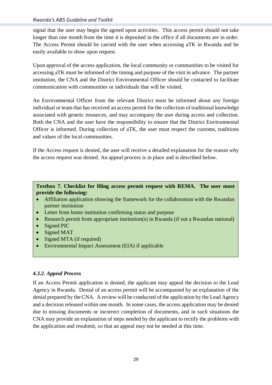signal that the user may begin the agreed upon activities. This access permit should not take longer than one month from the time it is deposited in the office if all documents are in order. The Access Permit should be carried with the user when accessing aTK in Rwanda and be easily available to show upon request.

Upon approval of the access application, the local community or communities to be visited for accessing aTK must be informed of the timing and purpose of the visit in advance. The partner institution, the CNA and the District Environmental Officer should be contacted to facilitate communication with communities or individuals that will be visited.

An Environmental Officer from the relevant District must be informed about any foreign individual or team that has received an access permit for the collection of traditional knowledge associated with genetic resources, and may accompany the user during access and collection. Both the CNA and the user have the responsibility to ensure that the District Environmental Officer is informed. During collection of aTK, the user must respect the customs, traditions and values of the local communities.

If the Access request is denied, the user will receive a detailed explanation for the reason why the access request was denied. An appeal process is in place and is described below.

**Textbox 7. Checklist for filing access permit request with REMA. The user must provide the following:**

- Affiliation application showing the framework for the collaboration with the Rwandan partner institution
- Letter from home institution confirming status and purpose
- Research permit from appropriate institution(s) in Rwanda (if not a Rwandan national)
- Signed PIC
- Signed MAT
- Signed MTA (if required)
- Environmental Impact Assessment (EIA) if applicable

#### <span id="page-28-0"></span>*4.3.2. Appeal Process*

If an Access Permit application is denied, the applicant may appeal the decision to the Lead Agency in Rwanda. Denial of an access permit will be accompanied by an explanation of the denial prepared by the CNA. A review will be conducted of the application by the Lead Agency and a decision released within one month. In some cases, the access application may be denied due to missing documents or incorrect completion of documents, and in such situations the CNA may provide an explanation of steps needed by the applicant to rectify the problems with the application and resubmit, so that an appeal may not be needed at this time.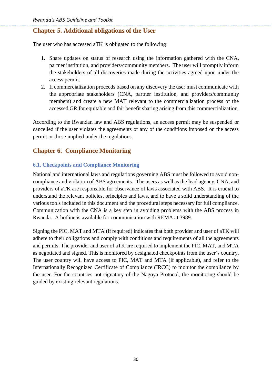## <span id="page-29-0"></span>**Chapter 5. Additional obligations of the User**

The user who has accessed aTK is obligated to the following:

- 1. Share updates on status of research using the information gathered with the CNA, partner institution, and providers/community members. The user will promptly inform the stakeholders of all discoveries made during the activities agreed upon under the access permit.
- 2. If commercialization proceeds based on any discovery the user must communicate with the appropriate stakeholders (CNA, partner institution, and providers/community members) and create a new MAT relevant to the commercialization process of the accessed GR for equitable and fair benefit sharing arising from this commercialization.

According to the Rwandan law and ABS regulations, an access permit may be suspended or cancelled if the user violates the agreements or any of the conditions imposed on the access permit or those implied under the regulations.

## <span id="page-29-1"></span>**Chapter 6. Compliance Monitoring**

#### <span id="page-29-2"></span>**6.1. Checkpoints and Compliance Monitoring**

National and international laws and regulations governing ABS must be followed to avoid noncompliance and violation of ABS agreements. The users as well as the lead agency, CNA, and providers of aTK are responsible for observance of laws associated with ABS. It is crucial to understand the relevant policies, principles and laws, and to have a solid understanding of the various tools included in this document and the procedural steps necessary for full compliance. Communication with the CNA is a key step in avoiding problems with the ABS process in Rwanda. A hotline is available for communication with REMA at 3989.

Signing the PIC, MAT and MTA (if required) indicates that both provider and user of aTK will adhere to their obligations and comply with conditions and requirements of all the agreements and permits. The provider and user of aTK are required to implement the PIC, MAT, and MTA as negotiated and signed. This is monitored by designated checkpoints from the user's country. The user country will have access to PIC, MAT and MTA (if applicable), and refer to the Internationally Recognized Certificate of Compliance (IRCC) to monitor the compliance by the user. For the countries not signatory of the Nagoya Protocol, the monitoring should be guided by existing relevant regulations.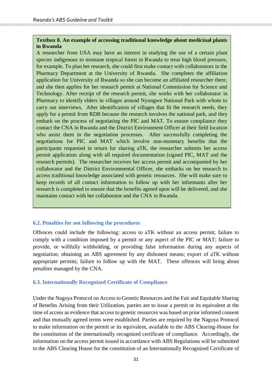#### **Textbox 8. An example of accessing traditional knowledge about medicinal plants in Rwanda**

A researcher from USA may have an interest in studying the use of a certain plant species indigenous to montane tropical forest in Rwanda to treat high blood pressure, for example. To plan her research, she could first make contact with collaborators in the Pharmacy Department at the University of Rwanda. She completes the affiliation application for University of Rwanda so she can become an affiliated researcher there, and she then applies for her research permit at National Commission for Science and Technology. After receipt of the research permit, she works with her collaborator in Pharmacy to identify elders in villages around Nyungwe National Park with whom to carry out interviews. After identification of villages that fit the research needs, they apply for a permit from RDB because the research involves the national park, and they embark on the process of negotiating the PIC and MAT. To ensure compliance they contact the CNA in Rwanda and the District Environment Officer at their field location who assist them in the negotiation processes. After successfully completing the negotiations for PIC and MAT which involve non-monetary benefits that the participants requested in return for sharing aTK, the researcher submits her access permit application along with all required documentation (signed PIC, MAT and the research permits). The researcher receives her access permit and accompanied by her collaborator and the District Environmental Officer, she embarks on her research to access traditional knowledge associated with genetic resources. She will make sure to keep records of all contact information to follow up with her informants after her research is completed to ensure that the benefits agreed upon will be delivered, and she maintains contact with her collaborator and the CNA in Rwanda.

#### <span id="page-30-0"></span>**6.2. Penalties for not following the procedures**

Offences could include the following: access to aTK without an access permit; failure to comply with a condition imposed by a permit or any aspect of the PIC or MAT; failure to provide, or willfully withholding, or providing false information during any aspects of negotiation; obtaining an ABS agreement by any dishonest means; export of aTK without appropriate permits; failure to follow up with the MAT. These offences will bring about penalties managed by the CNA.

#### <span id="page-30-1"></span>**6.3. Internationally Recognized Certificate of Compliance**

Under the Nagoya Protocol on Access to Genetic Resources and the Fair and Equitable Sharing of Benefits Arising from their Utilization, parties are to issue a permit or its equivalent at the time of access as evidence that access to genetic resources was based on prior informed consent and that mutually agreed terms were established. Parties are required by the Nagoya Protocol to make information on the permit or its equivalent, available to the ABS Clearing-House for the constitution of the internationally recognized certificate of compliance. Accordingly, the information on the access permit issued in accordance with ABS Regulations will be submitted to the ABS Clearing House for the constitution of an Internationally Recognized Certificate of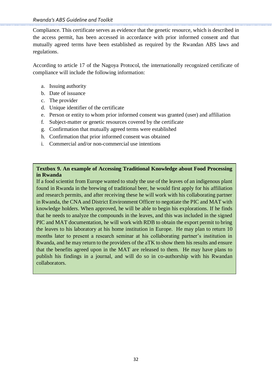Compliance. This certificate serves as evidence that the genetic resource, which is described in the access permit, has been accessed in accordance with prior informed consent and that mutually agreed terms have been established as required by the Rwandan ABS laws and regulations.

According to article 17 of the Nagoya Protocol, the internationally recognized certificate of compliance will include the following information:

- a. Issuing authority
- b. Date of issuance
- c. The provider
- d. Unique identifier of the certificate
- e. Person or entity to whom prior informed consent was granted (user) and affiliation
- f. Subject-matter or genetic resources covered by the certificate
- g. Confirmation that mutually agreed terms were established
- h. Confirmation that prior informed consent was obtained
- i. Commercial and/or non-commercial use intentions

#### **Textbox 9. An example of Accessing Traditional Knowledge about Food Processing in Rwanda**

If a food scientist from Europe wanted to study the use of the leaves of an indigenous plant found in Rwanda in the brewing of traditional beer, he would first apply for his affiliation and research permits, and after receiving these he will work with his collaborating partner in Rwanda, the CNA and District Environment Officer to negotiate the PIC and MAT with knowledge holders. When approved, he will be able to begin his explorations. If he finds that he needs to analyze the compounds in the leaves, and this was included in the signed PIC and MAT documentation, he will work with RDB to obtain the export permit to bring the leaves to his laboratory at his home institution in Europe. He may plan to return 10 months later to present a research seminar at his collaborating partner's institution in Rwanda, and he may return to the providers of the aTK to show them his results and ensure that the benefits agreed upon in the MAT are released to them. He may have plans to publish his findings in a journal, and will do so in co-authorship with his Rwandan collaborators.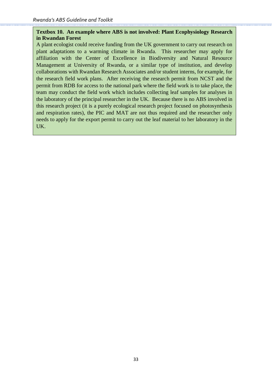#### **Textbox 10. An example where ABS is not involved: Plant Ecophysiology Research in Rwandan Forest**

A plant ecologist could receive funding from the UK government to carry out research on plant adaptations to a warming climate in Rwanda. This researcher may apply for affiliation with the Center of Excellence in Biodiversity and Natural Resource Management at University of Rwanda, or a similar type of institution, and develop collaborations with Rwandan Research Associates and/or student interns, for example, for the research field work plans. After receiving the research permit from NCST and the permit from RDB for access to the national park where the field work is to take place, the team may conduct the field work which includes collecting leaf samples for analyses in the laboratory of the principal researcher in the UK. Because there is no ABS involved in this research project (it is a purely ecological research project focused on photosynthesis and respiration rates), the PIC and MAT are not thus required and the researcher only needs to apply for the export permit to carry out the leaf material to her laboratory in the UK.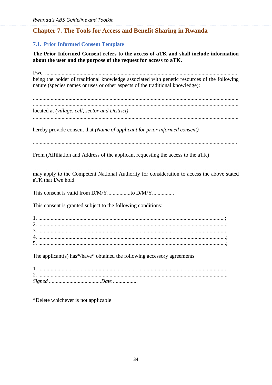## <span id="page-33-0"></span>**Chapter 7. The Tools for Access and Benefit Sharing in Rwanda**

#### <span id="page-33-1"></span>**7.1. Prior Informed Consent Template**

**The Prior Informed Consent refers to the access of aTK and shall include information about the user and the purpose of the request for access to aTK.**

I/we ............................................................................................................................................ being the holder of traditional knowledge associated with genetic resources of the following nature (species names or uses or other aspects of the traditional knowledge): ...................................................................................................................................................... ...................................................................................................................................................... located at *(village, cell, sector and District)* ...................................................................................................................................................... hereby provide consent that *(Name of applicant for prior informed consent)*  ..................................................................................................................................................... From (Affiliation and Address of the applicant requesting the access to the aTK) ………………………………………………………………………………………………….. may apply to the Competent National Authority for consideration to access the above stated aTK that I/we hold. This consent is valid from D/M/Y.................to D/M/Y................ This consent is granted subject to the following conditions: 1. ........................................................................................................................................; 2. .........................................................................................................................................; 3. .........................................................................................................................................; 4. .........................................................................................................................................; 5. .........................................................................................................................................; The applicant(s) has\*/have\* obtained the following accessory agreements 1. .......................................................................................................................................... 2. .......................................................................................................................................... *Signed ......................................Date ..................*

\*Delete whichever is not applicable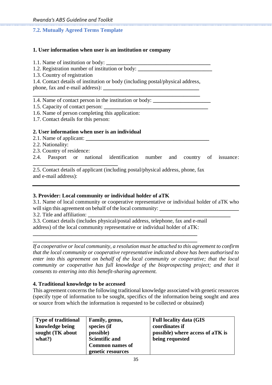#### <span id="page-34-0"></span>**7.2. Mutually Agreed Terms Template**

#### **1. User information when user is an institution or company**

1.1. Name of institution or body:

1.2. Registration number of institution or body:

1.3. Country of registration

1.4. Contact details of institution or body (including postal/physical address, phone, fax and e-mail address): **\_\_\_\_\_\_\_\_\_\_\_\_\_\_\_\_\_\_\_\_\_\_\_\_\_\_\_\_\_\_\_\_\_\_\_**

**\_\_\_\_\_\_\_\_\_\_\_\_\_\_\_\_\_\_\_\_\_\_\_\_\_\_\_\_\_\_\_\_\_\_\_\_\_\_\_\_\_\_\_\_\_\_\_\_\_\_\_\_\_\_\_\_\_\_\_\_\_** 1.4. Name of contact person in the institution or body: **\_\_\_\_\_\_\_\_\_\_\_\_\_\_\_\_\_\_\_\_\_**

1.5. Capacity of contact person: **\_\_\_\_\_\_\_\_\_\_\_\_\_\_\_\_\_\_\_\_\_\_\_\_\_\_\_\_\_\_\_\_\_\_\_\_\_\_**

1.6. Name of person completing this application:

1.7. Contact details for this person:

**\_\_\_\_\_\_\_\_\_\_\_\_\_\_\_\_\_\_\_\_\_\_\_\_\_\_\_\_\_\_\_**

#### **2. User information when user is an individual**

- 2.1. Name of applicant:
- 2.2. Nationality:
- 2.3. Country of residence:
- 2.4. Passport or national identification number and country of issuance:

2.5. Contact details of applicant (including postal/physical address, phone, fax and e-mail address):

#### **3. Provider: Local community or individual holder of aTK**

3.1. Name of local community or cooperative representative or individual holder of aTK who will sign this agreement on behalf of the local community:

3.2. Title and affiliation: **\_\_\_\_\_\_\_\_\_\_\_\_\_\_\_\_\_\_\_\_\_\_\_\_\_\_\_\_\_\_\_\_\_\_\_\_\_\_\_\_\_\_\_\_\_\_\_\_\_\_\_\_**

3.3. Contact details (includes physical/postal address, telephone, fax and e-mail address) of the local community representative or individual holder of aTK:

**\_\_\_\_\_\_\_\_\_\_\_\_\_\_\_\_\_\_\_\_\_\_\_\_\_\_\_\_\_\_\_\_\_\_\_\_\_\_\_\_\_\_\_\_\_\_\_\_\_\_\_\_\_\_\_\_\_\_\_\_ \_\_\_\_\_\_\_\_\_\_\_\_\_\_\_\_\_\_\_\_\_\_\_\_\_\_\_\_\_\_\_\_\_\_\_\_\_\_\_\_\_\_\_\_\_\_\_\_\_\_\_\_\_\_\_\_\_\_\_\_**

*If a cooperative or local community, a resolution must be attached to this agreement to confirm that the local community or cooperative representative indicated above has been authorised to enter into this agreement on behalf of the local community or cooperative; that the local community or cooperative has full knowledge of the bioprospecting project; and that it consents to entering into this benefit-sharing agreement.*

#### **4. Traditional knowledge to be accessed**

This agreement concerns the following traditional knowledge associated with genetic resources (specify type of information to be sought, specifics of the information being sought and area or source from which the information is requested to be collected or obtained)

| <b>Type of traditional</b> | Family, genus,         | <b>Full locality data (GIS</b>   |
|----------------------------|------------------------|----------------------------------|
| knowledge being            | species (if            | coordinates if                   |
| sought (TK about           | possible)              | possible) where access of aTK is |
| what?)                     | <b>Scientific and</b>  | being requested                  |
|                            | <b>Common names of</b> |                                  |
|                            | genetic resources      |                                  |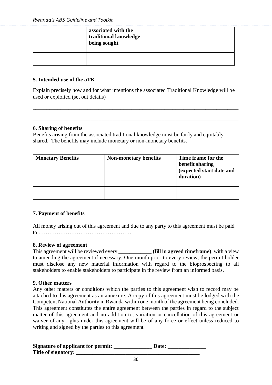| associated with the<br>traditional knowledge<br>being sought |  |
|--------------------------------------------------------------|--|
|                                                              |  |
|                                                              |  |
|                                                              |  |

#### **5. Intended use of the aTK**

Explain precisely how and for what intentions the associated Traditional Knowledge will be used or exploited (set out details) \_\_\_\_\_\_\_\_\_\_\_\_\_\_\_\_\_\_\_\_\_\_\_\_\_\_\_\_\_\_\_\_\_\_\_\_\_\_\_\_\_\_\_\_\_\_\_

**\_\_\_\_\_\_\_\_\_\_\_\_\_\_\_\_\_\_\_\_\_\_\_\_\_\_\_\_\_\_\_\_\_\_\_\_\_\_\_\_\_\_\_\_\_\_\_\_\_\_\_\_\_\_\_\_\_\_\_\_\_\_\_\_\_\_\_\_\_\_\_\_\_\_\_**

**\_\_\_\_\_\_\_\_\_\_\_\_\_\_\_\_\_\_\_\_\_\_\_\_\_\_\_\_\_\_\_\_\_\_\_\_\_\_\_\_\_\_\_\_\_\_\_\_\_\_\_\_\_\_\_\_\_\_\_\_\_\_\_\_\_\_\_\_\_\_\_\_\_\_\_**

#### **6. Sharing of benefits**

Benefits arising from the associated traditional knowledge must be fairly and equitably shared. The benefits may include monetary or non-monetary benefits.

| <b>Monetary Benefits</b> | <b>Non-monetary benefits</b> | Time frame for the<br>benefit sharing<br>(expected start date and<br>duration) |
|--------------------------|------------------------------|--------------------------------------------------------------------------------|
|                          |                              |                                                                                |
|                          |                              |                                                                                |
|                          |                              |                                                                                |

#### **7. Payment of benefits**

All money arising out of this agreement and due to any party to this agreement must be paid to ……………………………………………

#### **8. Review of agreement**

This agreement will be reviewed every **(fill in agreed timeframe)**, with a view to amending the agreement if necessary. One month prior to every review, the permit holder must disclose any new material information with regard to the bioprospecting to all stakeholders to enable stakeholders to participate in the review from an informed basis.

#### **9. Other matters**

Any other matters or conditions which the parties to this agreement wish to record may be attached to this agreement as an annexure. A copy of this agreement must be lodged with the Competent National Authority in Rwanda within one month of the agreement being concluded. This agreement constitutes the entire agreement between the parties in regard to the subject matter of this agreement and no addition to, variation or cancellation of this agreement or waiver of any rights under this agreement will be of any force or effect unless reduced to writing and signed by the parties to this agreement.

| <b>Signature of applicant for permit:</b> | <b>Date:</b> |
|-------------------------------------------|--------------|
| Title of signatory:                       |              |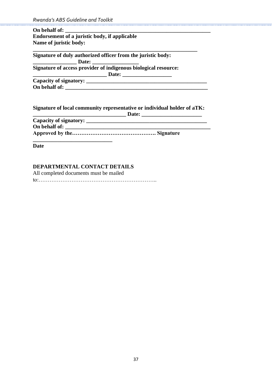| On behalf of:                                                                                 |
|-----------------------------------------------------------------------------------------------|
| Endorsement of a juristic body, if applicable                                                 |
| Name of juristic body:                                                                        |
| Signature of duly authorized officer from the juristic body:                                  |
| Signature of access provider of indigenous biological resource:                               |
|                                                                                               |
| Capacity of signatory:                                                                        |
|                                                                                               |
| Signature of local community representative or individual holder of aTK:<br>$\mathbf{D}$ -4-- |

| Date:<br><u> 1980 - Johann Harry Barn, mars and de Branch and de Branch and de Branch and de Branch and de Branch and de Br</u> |
|---------------------------------------------------------------------------------------------------------------------------------|
|                                                                                                                                 |
|                                                                                                                                 |
|                                                                                                                                 |
|                                                                                                                                 |

**Date**

## **DEPARTMENTAL CONTACT DETAILS**

All completed documents must be mailed to:………………………………………………………..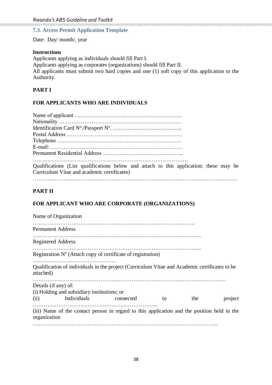#### <span id="page-37-0"></span>**7.3. Access Permit Application Template**

Date: Day/ month/, year

#### **Instructions**

Applicants applying as individuals should fill Part I. Applicants applying as corporates (organizations) should fill Part II. All applicants must submit two hard copies and one (1) soft copy of this application to the Authority.

#### **PART I**

### **FOR APPLICANTS WHO ARE INDIVIDUALS**

| Qualifications (List qualifications below and attach to this application; these may be |
|----------------------------------------------------------------------------------------|
| Curriculum Vitae and academic certificates)                                            |
|                                                                                        |

#### **PART II**

## **FOR APPLICANT WHO ARE CORPORATE (ORGANIZATIONS)**

| Name of Organization                                                        |             |                                                                                               |    |     |         |
|-----------------------------------------------------------------------------|-------------|-----------------------------------------------------------------------------------------------|----|-----|---------|
| <b>Permanent Address</b>                                                    |             |                                                                                               |    |     |         |
| <b>Registered Address</b>                                                   |             |                                                                                               |    |     |         |
|                                                                             |             | Registration $N^{\circ}$ (Attach copy of certificate of registration)                         |    |     |         |
| attached)                                                                   |             | Qualification of individuals in the project (Curriculum Vitae and Academic certificates to be |    |     |         |
| Details (if any) of:<br>(i) Holding and subsidiary institutions; or<br>(ii) | Individuals | connected                                                                                     | to | the | project |
| organization                                                                |             | (iii) Name of the contact person in regard to this application and the position held in the   |    |     |         |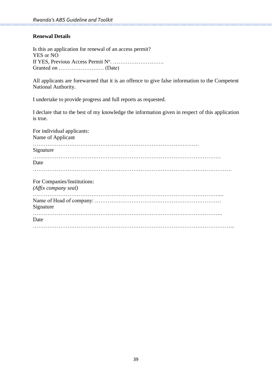#### **Renewal Details**

Is this an application for renewal of an access permit? YES or NO If YES, Previous Access Permit N<sup>o</sup> . ………………………. Granted on ……………………. (Date)

All applicants are forewarned that it is an offence to give false information to the Competent National Authority.

I undertake to provide progress and full reports as requested.

I declare that to the best of my knowledge the information given in respect of this application is true.

| For individual applicants:                          |  |
|-----------------------------------------------------|--|
| Name of Applicant                                   |  |
| Signature                                           |  |
| Date                                                |  |
| For Companies/Institutions:<br>(Affix company seal) |  |
| Signature                                           |  |
| Date                                                |  |
|                                                     |  |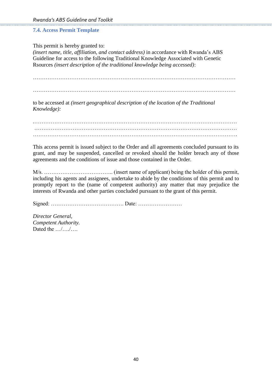#### <span id="page-39-0"></span>**7.4. Access Permit Template**

This permit is hereby granted to:

*(insert name, title, affiliation, and contact address)* in accordance with Rwanda's ABS Guideline for access to the following Traditional Knowledge Associated with Genetic Rsources *(insert description of the traditional knowledge being accessed)*:

…………………………………………………………………………………………………

…………………………………………………………………………………………………

to be accessed at *(insert geographical description of the location of the Traditional Knowledge):* 

*.*………………………………………………………………………………………………… ………………………………………………………………………………………………… ………………………………………………………………………………………………….

This access permit is issued subject to the Order and all agreements concluded pursuant to its grant, and may be suspended, cancelled or revoked should the holder breach any of those agreements and the conditions of issue and those contained in the Order.

M/s. ……………………………….. (insert name of applicant) being the holder of this permit, including his agents and assignees, undertake to abide by the conditions of this permit and to promptly report to the (name of competent authority) any matter that may prejudice the interests of Rwanda and other parties concluded pursuant to the grant of this permit.

Signed: …………………………………. Date: ……………………

*Director General, Competent Authority.* Dated the .../..../....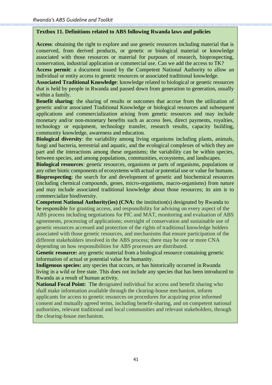#### **Textbox 11. Definitions related to ABS following Rwanda laws and policies**

**Access**: obtaining the right to explore and use genetic resources including material that is conserved, from derived products, or genetic or biological material or knowledge associated with those resources or material for purposes of research, bioprospecting, conservation, industrial application or commercial use. Can we add the access to TK?

**Access permit**: a document issued by the Competent National Authority to allow an individual or entity access to genetic resources or associated traditional knowledge.

**Associated Traditional Knowledge**: knowledge related to biological or genetic resources that is held by people in Rwanda and passed down from generation to generation, usually within a family.

**Benefit sharing**: the sharing of results or outcomes that accrue from the utilization of genetic and/or associated Traditional Knowledge or biological resources and subsequent applications and commercialization arising from genetic resources and may include monetary and/or non-monetary benefits such as access fees, direct payments, royalties, technology or equipment, technology transfer, research results, capacity building, community knowledge, awareness and education.

**Biological diversity**: the variability among living organisms including plants, animals, fungi and bacteria, terrestrial and aquatic, and the ecological complexes of which they are part and the interactions among these organisms; the variability can be within species, between species, and among populations, communities, ecosystems, and landscapes.

**Biological resources**: genetic resources, organisms or parts of organisms, populations or any other biotic components of ecosystems with actual or potential use or value for humans. **Bioprospecting**: the search for and development of genetic and biochemical resources (including chemical compounds, genes, micro-organisms, macro-organisms) from nature and may include associated traditional knowledge about those resources; its aim is to commercialize biodiversity.

**Competent National Authority(ies) (CNA:** the institution(s) designated by Rwanda to be responsible for granting access, and responsibility for advising on every aspect of the ABS process including negotiations for PIC and MAT, monitoring and evaluation of ABS agreements, processing of applications; oversight of conservation and sustainable use of genetic resources accessed and protection of the rights of traditional knowledge holders associated with those genetic resources, and mechanisms that ensure participation of the different stakeholders involved in the ABS process; there may be one or more CNA depending on how responsibilities for ABS processes are distributed.

**Genetic resource:** any genetic material from a biological resource containing genetic information of actual or potential value for humanity.

**Indigenous species:** any species that occurs, or has historically occurred in Rwanda living in a wild or free state. This does not include any species that has been introduced to Rwanda as a result of human activity.

**National Focal Point:** The designated individual for access and benefit sharing who shall make information available through the clearing-house mechanism, inform applicants for access to genetic resources on procedures for acquiring prior informed consent and mutually agreed terms, including benefit-sharing, and on competent national authorities, relevant traditional and local communities and relevant stakeholders, through the clearing-house mechanism.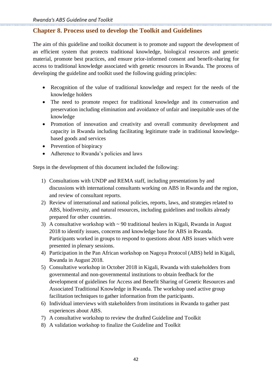## <span id="page-41-0"></span>**Chapter 8. Process used to develop the Toolkit and Guidelines**

The aim of this guideline and toolkit document is to promote and support the development of an efficient system that protects traditional knowledge, biological resources and genetic material, promote best practices, and ensure prior-informed consent and benefit-sharing for access to traditional knowledge associated with genetic resources in Rwanda. The process of developing the guideline and toolkit used the following guiding principles:

- Recognition of the value of traditional knowledge and respect for the needs of the knowledge holders
- The need to promote respect for traditional knowledge and its conservation and preservation including elimination and avoidance of unfair and inequitable uses of the knowledge
- Promotion of innovation and creativity and overall community development and capacity in Rwanda including facilitating legitimate trade in traditional knowledgebased goods and services
- Prevention of biopiracy
- Adherence to Rwanda's policies and laws

Steps in the development of this document included the following:

- 1) Consultations with UNDP and REMA staff, including presentations by and discussions with international consultants working on ABS in Rwanda and the region, and review of consultant reports.
- 2) Review of international and national policies, reports, laws, and strategies related to ABS, biodiversity, and natural resources, including guidelines and toolkits already prepared for other countries.
- 3) A consultative workshop with  $\sim$  90 traditional healers in Kigali, Rwanda in August 2018 to identify issues, concerns and knowledge base for ABS in Rwanda. Participants worked in groups to respond to questions about ABS issues which were presented in plenary sessions.
- 4) Participation in the Pan African workshop on Nagoya Protocol (ABS) held in Kigali, Rwanda in August 2018.
- 5) Consultative workshop in October 2018 in Kigali, Rwanda with stakeholders from governmental and non-governmental institutions to obtain feedback for the development of guidelines for Access and Benefit Sharing of Genetic Resources and Associated Traditional Knowledge in Rwanda. The workshop used active group facilitation techniques to gather information from the participants.
- 6) Individual interviews with stakeholders from institutions in Rwanda to gather past experiences about ABS.
- 7) A consultative workshop to review the drafted Guideline and Toolkit
- 8) A validation workshop to finalize the Guideline and Toolkit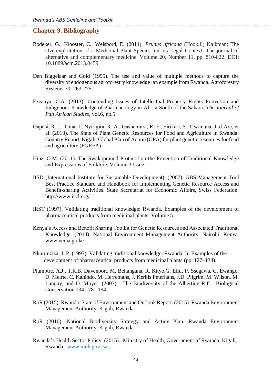#### <span id="page-42-0"></span>**Chapter 9. Bibliography**

- Bodeker, G., Klooster, C., Weisbord, E. (2014). *Prunus africana* (Hook.f.) Kalkman: The Overexploitation of a Medicinal Plant Species and its Legal Context. The journal of alternative and complementary medicine. Volume 20, Number 11, pp. 810-822. DOI: 10.1089/acm.2013.0459
- Den Biggelaar and Gold (1995). The use and value of multiple methods to capture the diversity of endogenous agroforestry knowledge: an example from Rwanda. Agroforestry Systems 30: 263-275.
- Ezeanya, C.A. (2013). Contending Issues of Intellectual Property Rights Protection and Indigenous Knowledge of Pharmacology in Africa South of the Sahara. *The Journal of Pan African Studies*, vol.6, no.5.
- Gapusi, R. J., Tona, I., Nyirigira, R. A., Gashamura, R. F., Sirikari, S., Uwimana, J. d'Arc, et al. (2013). The State of Plant Genetic Resources for Food and Agriculture in Rwanda: Country Report. Kigali: Global Plan of Action (GPA) for plant genetic resources for food and agriculture (PGRFA)
- Hinz, O.M. (2011). The Swakopmund Protocol on the Protection of Traditional Knowledge and Expressions of Folklore. Volume 3 Issue 1.
- IISD (International Institute for Sustainable Development). (2007). ABS-Management Tool Best Practice Standard and Handbook for Implementing Genetic Resource Access and Benefit-sharing Activities. State Secretariat for Economic Affairs, Swiss Federation. http://www.iisd.org/
- IRST (1997). Validating traditional knowledge: Rwanda. Examples of the development of pharmaceutical products from medicinal plants. Volume 5.
- Kenya's Access and Benefit Sharing Toolkit for Genetic Resources and Associated Traditional Knowledge. (2014). National Environment Management Authority, Nairobi, Kenya. www.nema.go.ke
- Nkurunziza, J. P. (1997). Validating traditional knowledge: Rwanda. In Examples of the development of pharmaceutical products from medicinal plants (pp. 127–134).
- Plumptre, A.J., T.R.B. Davenport, M. Behangana, R. Kityo,G. Eilu, P. Ssegawa, C. Ewango, D. Meirte, C. Kahindo, M. Herremans, J. Kerbis Peterhans, J.D. Pilgrim, M. Wilson, M. Languy, and D. Moyer. (2007). The Biodiversity of the Albertine Rift. Biological Conservation 134:178 –194.
- RoR (2015). Rwanda: State of Environment and Outlook Report. (2015). Rwanda Environment Management Authority, Kigali, Rwanda.
- RoR (2016). National Biodiversity Strategy and Action Plan. Rwanda Environment Management Authority, Kigali, Rwanda.
- Rwanda's Health Sector Policy. (2015). Ministry of Health, Government of Rwanda, Kigali, Rwanda. [www.moh.gov.rw](http://www.moh.gov.rw/)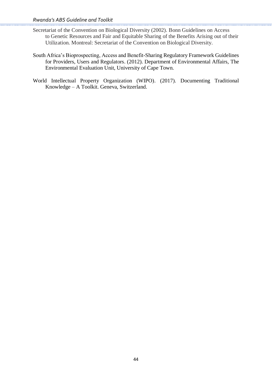- Secretariat of the Convention on Biological Diversity (2002). Bonn Guidelines on Access to Genetic Resources and Fair and Equitable Sharing of the Benefits Arising out of their Utilization. Montreal: Secretariat of the Convention on Biological Diversity.
- South Africa's Bioprospecting, Access and Benefit-Sharing Regulatory Framework Guidelines for Providers, Users and Regulators. (2012). Department of Environmental Affairs, The Environmental Evaluation Unit, University of Cape Town.
- World Intellectual Property Organization (WIPO). (2017). Documenting Traditional Knowledge – A Toolkit. Geneva, Switzerland.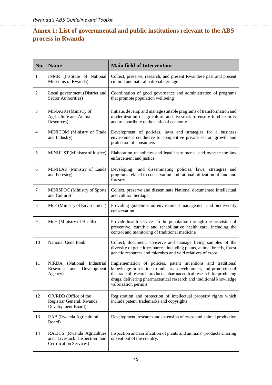## <span id="page-44-0"></span>**Annex 1: List of governmental and public institutions relevant to the ABS process in Rwanda**

| No.              | <b>Name</b>                                                                           | <b>Main field of Intervention</b>                                                                                                                                                                                                                                                                          |
|------------------|---------------------------------------------------------------------------------------|------------------------------------------------------------------------------------------------------------------------------------------------------------------------------------------------------------------------------------------------------------------------------------------------------------|
| $\mathbf{1}$     | INMR (Institute of National<br>Museums of Rwanda)                                     | Collect, preserve, research, and present Rwandese past and present<br>cultural and natural national heritage                                                                                                                                                                                               |
| $\overline{2}$   | Local government (District and<br>Sector Authorities)                                 | Coordination of good governance and administration of programs<br>that promote population wellbeing                                                                                                                                                                                                        |
| 3                | MINAGRI (Ministry of<br>Agriculture and Animal<br>Resources)                          | Initiate, develop and manage suitable programs of transformation and<br>modernization of agriculture and livestock to ensure food security<br>and to contribute to the national economy                                                                                                                    |
| $\overline{4}$   | MINICOM (Ministry of Trade<br>and Industry)                                           | Development of policies, laws and strategies for a business<br>environment conducive to competitive private sector, growth and<br>protection of consumers                                                                                                                                                  |
| 5                | MINIJUST (Ministry of Justice)                                                        | Elaboration of policies and legal instruments, and oversee the law<br>enforcement and justice                                                                                                                                                                                                              |
| 6                | MINILAF (Ministry of Lands<br>and Forestry)                                           | Developing<br>and disseminating policies, laws, strategies and<br>programs related to conservation and rational utilization of land and<br>forestry                                                                                                                                                        |
| $\boldsymbol{7}$ | MINISPOC (Ministry of Sports<br>and Culture)                                          | Collect, preserve and disseminate National documented intellectual<br>and cultural heritage                                                                                                                                                                                                                |
| 8                | MoE (Ministry of Environment)                                                         | Providing guidelines on environment management and biodiversity<br>conservation                                                                                                                                                                                                                            |
| 9                | MoH (Ministry of Health)                                                              | Provide health services to the population through the provision of<br>preventive, curative and rehabilitative health care, including the<br>control and monitoring of traditional medicine                                                                                                                 |
| 10               | <b>National Gene Bank</b>                                                             | Collect, document, conserve and manage living samples of the<br>diversity of genetic resources, including plants, animal breeds, forest<br>genetic resources and microbes and wild relatives of crops                                                                                                      |
| 11               | <b>NIRDA</b><br>(National Industrial<br>Research<br>Development<br>and<br>Agency)     | Implementation of policies, patent inventions and traditional<br>knowledge in relation to industrial development, and promotion of<br>the trade of research products, pharmaceutical research for producing<br>drugs, delivering pharmaceutical research and traditional knowledge<br>valorization permits |
| 12               | OR/RDB (Office of the<br>Registrar General, Rwanda<br>Development Board)              | Registration and protection of intellectual property rights which<br>include patent, trademarks and copyrights                                                                                                                                                                                             |
| 13               | RAB (Rwanda Agricultural<br>Board)                                                    | Development, research and extension of crops and animal production                                                                                                                                                                                                                                         |
| 14               | RALICS (Rwanda Agriculture<br>and Livestock Inspection and<br>Certification Services) | Inspection and certification of plants and animals" products entering<br>or sent out of the country.                                                                                                                                                                                                       |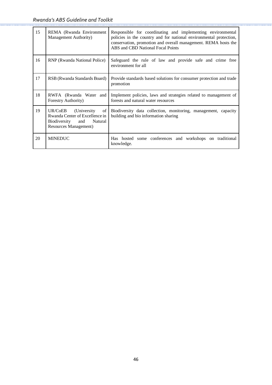| 15 | REMA (Rwanda Environment<br>Management Authority)                                                                       | Responsible for coordinating and implementing environmental<br>policies in the country and for national environmental protection,<br>conservation, promotion and overall management. REMA hosts the<br>ABS and CBD National Focal Points |
|----|-------------------------------------------------------------------------------------------------------------------------|------------------------------------------------------------------------------------------------------------------------------------------------------------------------------------------------------------------------------------------|
| 16 | RNP (Rwanda National Police)                                                                                            | Safeguard the rule of law and provide safe and crime free<br>environment for all                                                                                                                                                         |
| 17 | RSB (Rwanda Standards Board)                                                                                            | Provide standards based solutions for consumer protection and trade<br>promotion                                                                                                                                                         |
| 18 | RWFA (Rwanda Water and<br><b>Forestry Authority</b> )                                                                   | Implement policies, laws and strategies related to management of<br>forests and natural water resources                                                                                                                                  |
| 19 | UR/CoEB<br>(University)<br>of<br>Rwanda Center of Excellence in<br>Biodiversity and<br>Natural<br>Resources Management) | Biodiversity data collection, monitoring, management, capacity<br>building and bio information sharing                                                                                                                                   |
| 20 | <b>MINEDUC</b>                                                                                                          | Has hosted some conferences and workshops on traditional<br>knowledge.                                                                                                                                                                   |